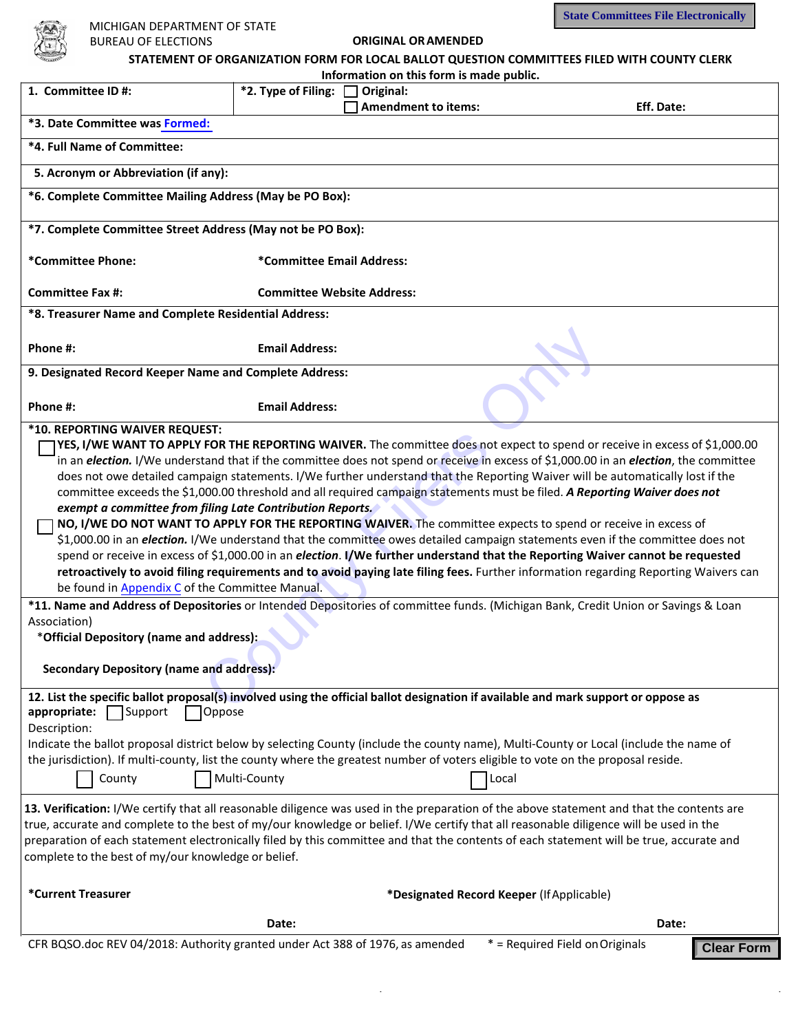

| MICHIGAN DEPARTMENT OF STATE                                                                                                                                                                   |                                   |                                                                                             | <b>State Committees File Electronically</b>          |
|------------------------------------------------------------------------------------------------------------------------------------------------------------------------------------------------|-----------------------------------|---------------------------------------------------------------------------------------------|------------------------------------------------------|
| <b>BUREAU OF ELECTIONS</b>                                                                                                                                                                     |                                   | <b>ORIGINAL OR AMENDED</b>                                                                  |                                                      |
|                                                                                                                                                                                                |                                   | STATEMENT OF ORGANIZATION FORM FOR LOCAL BALLOT QUESTION COMMITTEES FILED WITH COUNTY CLERK |                                                      |
| Information on this form is made public.                                                                                                                                                       |                                   |                                                                                             |                                                      |
| 1. Committee ID#:                                                                                                                                                                              | *2. Type of Filing:               | Original:                                                                                   |                                                      |
|                                                                                                                                                                                                |                                   | <b>Amendment to items:</b>                                                                  | Eff. Date:                                           |
| *3. Date Committee was Formed:                                                                                                                                                                 |                                   |                                                                                             |                                                      |
| *4. Full Name of Committee:                                                                                                                                                                    |                                   |                                                                                             |                                                      |
| 5. Acronym or Abbreviation (if any):                                                                                                                                                           |                                   |                                                                                             |                                                      |
| *6. Complete Committee Mailing Address (May be PO Box):                                                                                                                                        |                                   |                                                                                             |                                                      |
| *7. Complete Committee Street Address (May not be PO Box):                                                                                                                                     |                                   |                                                                                             |                                                      |
| *Committee Phone:                                                                                                                                                                              | *Committee Email Address:         |                                                                                             |                                                      |
| <b>Committee Fax #:</b>                                                                                                                                                                        | <b>Committee Website Address:</b> |                                                                                             |                                                      |
| *8. Treasurer Name and Complete Residential Address:                                                                                                                                           |                                   |                                                                                             |                                                      |
| Phone #:                                                                                                                                                                                       | <b>Email Address:</b>             |                                                                                             |                                                      |
| 9. Designated Record Keeper Name and Complete Address:                                                                                                                                         |                                   |                                                                                             |                                                      |
|                                                                                                                                                                                                |                                   |                                                                                             |                                                      |
| Phone #:                                                                                                                                                                                       | <b>Email Address:</b>             |                                                                                             |                                                      |
| *10. REPORTING WAIVER REQUEST:                                                                                                                                                                 |                                   |                                                                                             |                                                      |
| YES, I/WE WANT TO APPLY FOR THE REPORTING WAIVER. The committee does not expect to spend or receive in excess of \$1,000.00                                                                    |                                   |                                                                                             |                                                      |
| in an <i>election</i> . I/We understand that if the committee does not spend or receive in excess of \$1,000.00 in an <i>election</i> , the committee                                          |                                   |                                                                                             |                                                      |
| does not owe detailed campaign statements. I/We further understand that the Reporting Waiver will be automatically lost if the                                                                 |                                   |                                                                                             |                                                      |
| committee exceeds the \$1,000.00 threshold and all required campaign statements must be filed. A Reporting Waiver does not                                                                     |                                   |                                                                                             |                                                      |
| exempt a committee from filing Late Contribution Reports.<br>NO, I/WE DO NOT WANT TO APPLY FOR THE REPORTING WAIVER. The committee expects to spend or receive in excess of                    |                                   |                                                                                             |                                                      |
| \$1,000.00 in an <i>election</i> . I/We understand that the committee owes detailed campaign statements even if the committee does not                                                         |                                   |                                                                                             |                                                      |
| spend or receive in excess of \$1,000.00 in an <i>election</i> . I/We further understand that the Reporting Waiver cannot be requested                                                         |                                   |                                                                                             |                                                      |
| retroactively to avoid filing requirements and to avoid paying late filing fees. Further information regarding Reporting Waivers can                                                           |                                   |                                                                                             |                                                      |
| be found in Appendix C of the Committee Manual.                                                                                                                                                |                                   |                                                                                             |                                                      |
| *11. Name and Address of Depositories or Intended Depositories of committee funds. (Michigan Bank, Credit Union or Savings & Loan                                                              |                                   |                                                                                             |                                                      |
| Association)                                                                                                                                                                                   |                                   |                                                                                             |                                                      |
| *Official Depository (name and address):                                                                                                                                                       |                                   |                                                                                             |                                                      |
| <b>Secondary Depository (name and address):</b>                                                                                                                                                |                                   |                                                                                             |                                                      |
| 12. List the specific ballot proposal(s) involved using the official ballot designation if available and mark support or oppose as                                                             |                                   |                                                                                             |                                                      |
| appropriate:<br>Support<br>Oppose<br>Description:                                                                                                                                              |                                   |                                                                                             |                                                      |
| Indicate the ballot proposal district below by selecting County (include the county name), Multi-County or Local (include the name of                                                          |                                   |                                                                                             |                                                      |
| the jurisdiction). If multi-county, list the county where the greatest number of voters eligible to vote on the proposal reside.                                                               |                                   |                                                                                             |                                                      |
| County                                                                                                                                                                                         | Multi-County                      | Local                                                                                       |                                                      |
|                                                                                                                                                                                                |                                   |                                                                                             |                                                      |
| 13. Verification: I/We certify that all reasonable diligence was used in the preparation of the above statement and that the contents are                                                      |                                   |                                                                                             |                                                      |
| true, accurate and complete to the best of my/our knowledge or belief. I/We certify that all reasonable diligence will be used in the                                                          |                                   |                                                                                             |                                                      |
| preparation of each statement electronically filed by this committee and that the contents of each statement will be true, accurate and<br>complete to the best of my/our knowledge or belief. |                                   |                                                                                             |                                                      |
|                                                                                                                                                                                                |                                   |                                                                                             |                                                      |
| *Current Treasurer                                                                                                                                                                             |                                   | *Designated Record Keeper (If Applicable)                                                   |                                                      |
| Date:<br>Date:                                                                                                                                                                                 |                                   |                                                                                             |                                                      |
| CFR BQSO.doc REV 04/2018: Authority granted under Act 388 of 1976, as amended                                                                                                                  |                                   |                                                                                             | * = Required Field on Originals<br><b>Clear Form</b> |
|                                                                                                                                                                                                |                                   |                                                                                             |                                                      |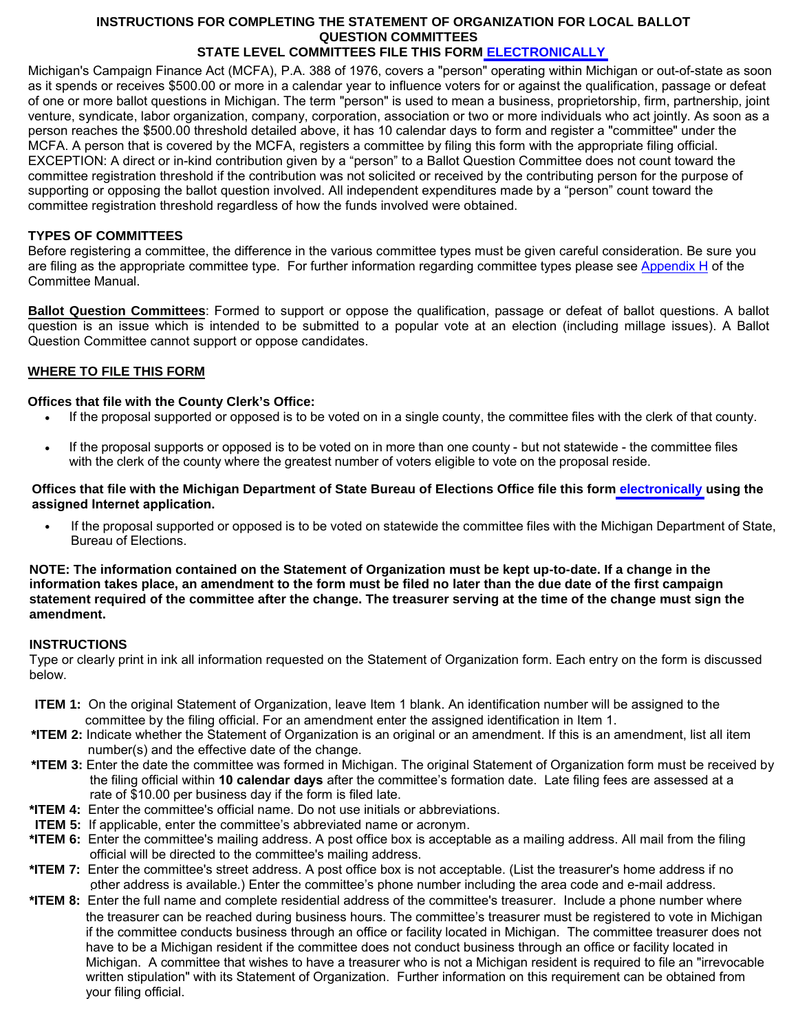# **INSTRUCTIONS FOR COMPLETING THE STATEMENT OF ORGANIZATION FOR LOCAL BALLOT QUESTION COMMITTEES**

## **STATE LEVEL COMMITTEES FILE THIS FORM [ELECTRONICALLY](https://midisclose.nictusa.com/)**

<span id="page-1-0"></span>Michigan's Campaign Finance Act (MCFA), P.A. 388 of 1976, covers a "person" operating within Michigan or out-of-state as soon as it spends or receives \$500.00 or more in a calendar year to influence voters for or against the qualification, passage or defeat of one or more ballot questions in Michigan. The term "person" is used to mean a business, proprietorship, firm, partnership, joint venture, syndicate, labor organization, company, corporation, association or two or more individuals who act jointly. As soon as a person reaches the \$500.00 threshold detailed above, it has 10 calendar days to form and register a "committee" under the MCFA. A person that is covered by the MCFA, registers a committee by filing this form with the appropriate filing official. EXCEPTION: A direct or in-kind contribution given by a "person" to a Ballot Question Committee does not count toward the committee registration threshold if the contribution was not solicited or received by the contributing person for the purpose of supporting or opposing the ballot question involved. All independent expenditures made by a "person" count toward the committee registration threshold regardless of how the funds involved were obtained.

## **TYPES OF COMMITTEES**

Before registering a committee, the difference in the various committee types must be given careful consideration. Be sure you are filing as the appropriate committee type. For further information regarding committee types please se[e Appendix H](https://mertsplus.com/mertsuserguide/index.php?n=MANUALS.AppendixH) of the Committee Manual.

**Ballot Question Committees**: Formed to support or oppose the qualification, passage or defeat of ballot questions. A ballot question is an issue which is intended to be submitted to a popular vote at an election (including millage issues). A Ballot Question Committee cannot support or oppose candidates.

### **WHERE TO FILE THIS FORM**

#### **Offices that file with the County Clerk's Office:**

- If the proposal supported or opposed is to be voted on in a single county, the committee files with the clerk of that county.
- If the proposal supports or opposed is to be voted on in more than one county but not statewide the committee files with the clerk of the county where the greatest number of voters eligible to vote on the proposal reside.

#### **Offices that file with the Michigan Department of State Bureau of Elections Office file this form [electronically](#page-1-0) using the assigned Internet application.**

• If the proposal supported or opposed is to be voted on statewide the committee files with the Michigan Department of State, Bureau of Elections.

#### **NOTE: The information contained on the Statement of Organization must be kept up-to-date. If a change in the information takes place, an amendment to the form must be filed no later than the due date of the first campaign statement required of the committee after the change. The treasurer serving at the time of the change must sign the amendment.**

#### **INSTRUCTIONS**

Type or clearly print in ink all information requested on the Statement of Organization form. Each entry on the form is discussed below.

- **ITEM 1:** On the original Statement of Organization, leave Item 1 blank. An identification number will be assigned to the committee by the filing official. For an amendment enter the assigned identification in Item 1.
- **\*ITEM 2:** Indicate whether the Statement of Organization is an original or an amendment. If this is an amendment, list all item number(s) and the effective date of the change.
- **\*ITEM 3:** Enter the date the committee was formed in Michigan. The original Statement of Organization form must be received by the filing official within **10 calendar days** after the committee's formation date. Late filing fees are assessed at a rate of \$10.00 per business day if the form is filed late.
- **\*ITEM 4:** Enter the committee's official name. Do not use initials or abbreviations.
- **ITEM 5:** If applicable, enter the committee's abbreviated name or acronym.
- **\*ITEM 6:** Enter the committee's mailing address. A post office box is acceptable as a mailing address. All mail from the filing official will be directed to the committee's mailing address.
- **\*ITEM 7:** Enter the committee's street address. A post office box is not acceptable. (List the treasurer's home address if no other address is available.) Enter the committee's phone number including the area code and e-mail address. .
- the treasurer can be reached during business hours. The committee's treasurer must be registered to vote in Michigan if the committee conducts business through an office or facility located in Michigan. The committee treasurer does not have to be a Michigan resident if the committee does not conduct business through an office or facility located in Michigan. A committee that wishes to have a treasurer who is not a Michigan resident is required to file an "irrevocable written stipulation" with its Statement of Organization. Further information on this requirement can be obtained from your filing official. **\*ITEM 8:** Enter the full name and complete residential address of the committee's treasurer. Include a phone number where